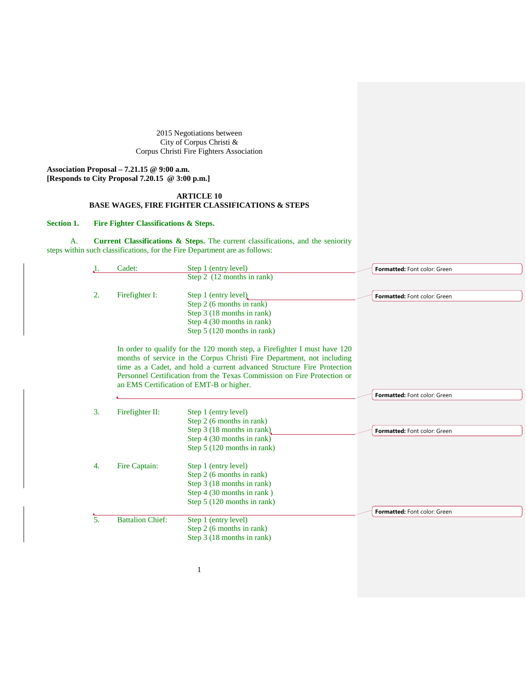2015 Negotiations between City of Corpus Christi & Corpus Christi Fire Fighters Association

**Association Proposal – 7.21.15 @ 9:00 a.m. [Responds to City Proposal 7.20.15 @ 3:00 p.m.]**

## **ARTICLE 10 BASE WAGES, FIRE FIGHTER CLASSIFICATIONS & STEPS**

## **Section 1. Fire Fighter Classifications & Steps.**

A. **Current Classifications & Steps.** The current classifications, and the seniority steps within such classifications, for the Fire Department are as follows:

|    | Cadet:                  | Step 1 (entry level)                                                                                                                                                                                                                                                                                                                                 | Formatted: Font color: Green |
|----|-------------------------|------------------------------------------------------------------------------------------------------------------------------------------------------------------------------------------------------------------------------------------------------------------------------------------------------------------------------------------------------|------------------------------|
|    |                         | Step 2 $(12$ months in rank)                                                                                                                                                                                                                                                                                                                         |                              |
| 2. | Firefighter I:          | Step 1 (entry level)<br>Step 2 (6 months in rank)<br>Step 3 (18 months in rank)                                                                                                                                                                                                                                                                      | Formatted: Font color: Green |
|    |                         | Step 4 (30 months in rank)                                                                                                                                                                                                                                                                                                                           |                              |
|    |                         | Step 5 (120 months in rank)                                                                                                                                                                                                                                                                                                                          |                              |
|    |                         | In order to qualify for the 120 month step, a Firefighter I must have 120<br>months of service in the Corpus Christi Fire Department, not including<br>time as a Cadet, and hold a current advanced Structure Fire Protection<br>Personnel Certification from the Texas Commission on Fire Protection or<br>an EMS Certification of EMT-B or higher. |                              |
|    |                         |                                                                                                                                                                                                                                                                                                                                                      | Formatted: Font color: Green |
| 3. | Firefighter II:         | Step 1 (entry level)<br>Step 2 (6 months in rank)<br>Step 3 (18 months in rank)                                                                                                                                                                                                                                                                      | Formatted: Font color: Green |
|    |                         | Step 4 (30 months in rank)<br>Step 5 (120 months in rank)                                                                                                                                                                                                                                                                                            |                              |
| 4. | Fire Captain:           | Step 1 (entry level)<br>Step 2 (6 months in rank)<br>Step 3 (18 months in rank)<br>Step 4 (30 months in rank)<br>Step 5 (120 months in rank)                                                                                                                                                                                                         |                              |
|    |                         |                                                                                                                                                                                                                                                                                                                                                      | Formatted: Font color: Green |
| 5. | <b>Battalion Chief:</b> | Step 1 (entry level)<br>Step 2 (6 months in rank)<br>Step 3 (18 months in rank)                                                                                                                                                                                                                                                                      |                              |